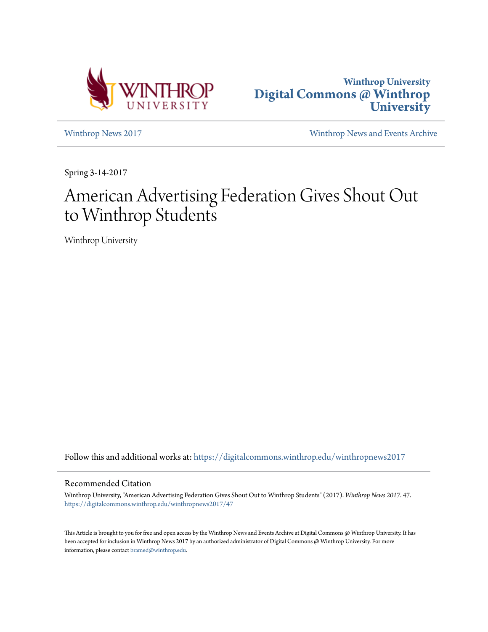



[Winthrop News 2017](https://digitalcommons.winthrop.edu/winthropnews2017?utm_source=digitalcommons.winthrop.edu%2Fwinthropnews2017%2F47&utm_medium=PDF&utm_campaign=PDFCoverPages) [Winthrop News and Events Archive](https://digitalcommons.winthrop.edu/winthropnewsarchives?utm_source=digitalcommons.winthrop.edu%2Fwinthropnews2017%2F47&utm_medium=PDF&utm_campaign=PDFCoverPages)

Spring 3-14-2017

# American Advertising Federation Gives Shout Out to Winthrop Students

Winthrop University

Follow this and additional works at: [https://digitalcommons.winthrop.edu/winthropnews2017](https://digitalcommons.winthrop.edu/winthropnews2017?utm_source=digitalcommons.winthrop.edu%2Fwinthropnews2017%2F47&utm_medium=PDF&utm_campaign=PDFCoverPages)

### Recommended Citation

Winthrop University, "American Advertising Federation Gives Shout Out to Winthrop Students" (2017). *Winthrop News 2017*. 47. [https://digitalcommons.winthrop.edu/winthropnews2017/47](https://digitalcommons.winthrop.edu/winthropnews2017/47?utm_source=digitalcommons.winthrop.edu%2Fwinthropnews2017%2F47&utm_medium=PDF&utm_campaign=PDFCoverPages)

This Article is brought to you for free and open access by the Winthrop News and Events Archive at Digital Commons @ Winthrop University. It has been accepted for inclusion in Winthrop News 2017 by an authorized administrator of Digital Commons @ Winthrop University. For more information, please contact [bramed@winthrop.edu](mailto:bramed@winthrop.edu).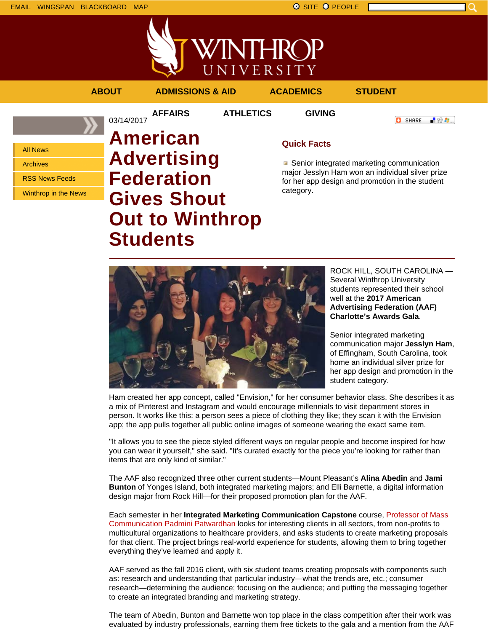

**//INTHROP** UNIVERSITY

### **ABOUT ADMISSIONS & AID ACADEMICS STUDENT**

03/14/2017

**AFFAIRS ATHLETICS GIVING**

**O** SHARE 上帝身上

All News

Archives

RSS News Feeds

Winthrop in the News

# **American Advertising Federation Gives Shout Out to Winthrop Students**

**Quick Facts**

Senior integrated marketing communication major Jesslyn Ham won an individual silver prize for her app design and promotion in the student category.



ROCK HILL, SOUTH CAROLINA — Several Winthrop University students represented their school well at the **2017 American Advertising Federation (AAF) Charlotte's Awards Gala**.

Senior integrated marketing communication major **Jesslyn Ham**, of Effingham, South Carolina, took home an individual silver prize for her app design and promotion in the student category.

Ham created her app concept, called "Envision," for her consumer behavior class. She describes it as a mix of Pinterest and Instagram and would encourage millennials to visit department stores in person. It works like this: a person sees a piece of clothing they like; they scan it with the Envision app; the app pulls together all public online images of someone wearing the exact same item.

"It allows you to see the piece styled different ways on regular people and become inspired for how you can wear it yourself," she said. "It's curated exactly for the piece you're looking for rather than items that are only kind of similar."

The AAF also recognized three other current students—Mount Pleasant's **Alina Abedin** and **Jami Bunton** of Yonges Island, both integrated marketing majors; and Elli Barnette, a digital information design major from Rock Hill—for their proposed promotion plan for the AAF.

Each semester in her **Integrated Marketing Communication Capstone** course, Professor of Mass Communication Padmini Patwardhan looks for interesting clients in all sectors, from non-profits to multicultural organizations to healthcare providers, and asks students to create marketing proposals for that client. The project brings real-world experience for students, allowing them to bring together everything they've learned and apply it.

AAF served as the fall 2016 client, with six student teams creating proposals with components such as: research and understanding that particular industry—what the trends are, etc.; consumer research—determining the audience; focusing on the audience; and putting the messaging together to create an integrated branding and marketing strategy.

The team of Abedin, Bunton and Barnette won top place in the class competition after their work was evaluated by industry professionals, earning them free tickets to the gala and a mention from the AAF